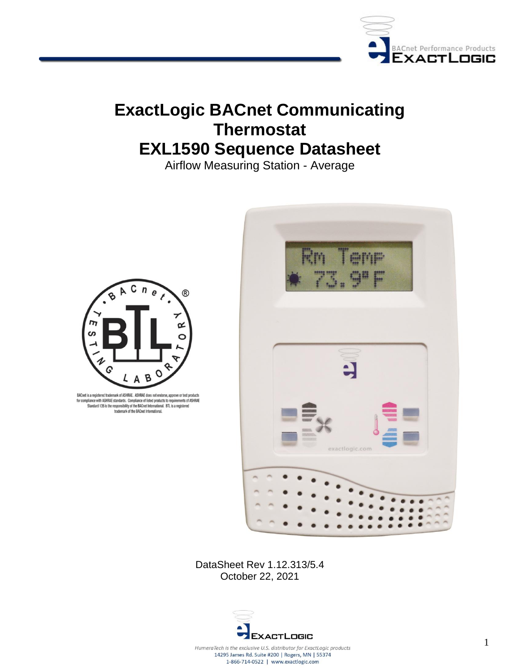

# **ExactLogic BACnet Communicating Thermostat EXL1590 Sequence Datasheet**

Airflow Measuring Station - Average



BACnet is a registered trademark of ASHRAE. ASHRAE does not endorse, approve or test products Examples to a response to account on the complement of ASHRAE<br>for complement of ASHRAE standards. Complement listed products to requirements of ASHRAE<br>Standard 135 is the responsibility of the BACnet International. BTL is



DataSheet Rev 1.12.313/5.4 October 22, 2021

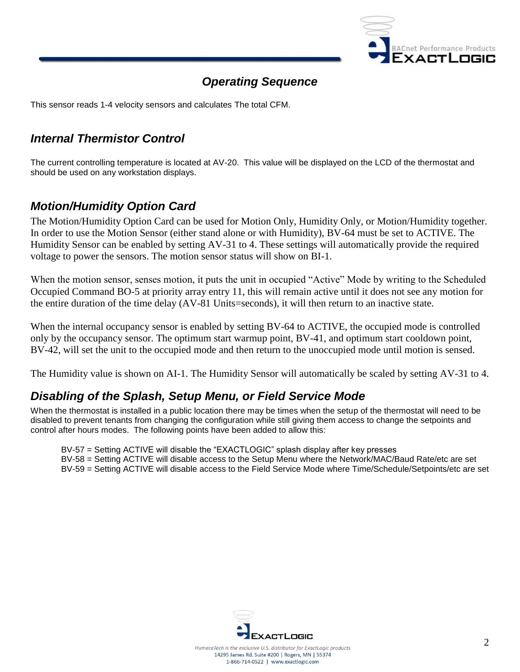

## *Operating Sequence*

This sensor reads 1-4 velocity sensors and calculates The total CFM.

## *Internal Thermistor Control*

The current controlling temperature is located at AV-20. This value will be displayed on the LCD of the thermostat and should be used on any workstation displays.

### *Motion/Humidity Option Card*

The Motion/Humidity Option Card can be used for Motion Only, Humidity Only, or Motion/Humidity together. In order to use the Motion Sensor (either stand alone or with Humidity), BV-64 must be set to ACTIVE. The Humidity Sensor can be enabled by setting AV-31 to 4. These settings will automatically provide the required voltage to power the sensors. The motion sensor status will show on BI-1.

When the motion sensor, senses motion, it puts the unit in occupied "Active" Mode by writing to the Scheduled Occupied Command BO-5 at priority array entry 11, this will remain active until it does not see any motion for the entire duration of the time delay (AV-81 Units=seconds), it will then return to an inactive state.

When the internal occupancy sensor is enabled by setting BV-64 to ACTIVE, the occupied mode is controlled only by the occupancy sensor. The optimum start warmup point, BV-41, and optimum start cooldown point, BV-42, will set the unit to the occupied mode and then return to the unoccupied mode until motion is sensed.

The Humidity value is shown on AI-1. The Humidity Sensor will automatically be scaled by setting AV-31 to 4.

### *Disabling of the Splash, Setup Menu, or Field Service Mode*

When the thermostat is installed in a public location there may be times when the setup of the thermostat will need to be disabled to prevent tenants from changing the configuration while still giving them access to change the setpoints and control after hours modes. The following points have been added to allow this:

BV-57 = Setting ACTIVE will disable the "EXACTLOGIC" splash display after key presses

BV-58 = Setting ACTIVE will disable access to the Setup Menu where the Network/MAC/Baud Rate/etc are set BV-59 = Setting ACTIVE will disable access to the Field Service Mode where Time/Schedule/Setpoints/etc are set

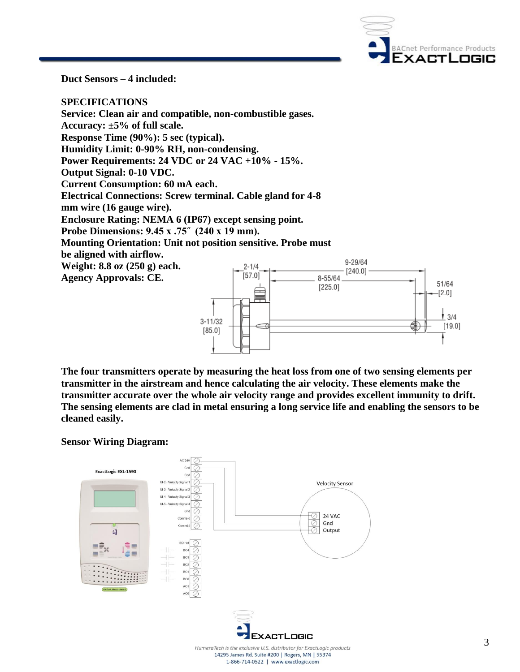

 $13/4$ 

 $[19.0]$ 

**Duct Sensors – 4 included:**

**SPECIFICATIONS Service: Clean air and compatible, non-combustible gases. Accuracy: ±5% of full scale. Response Time (90%): 5 sec (typical). Humidity Limit: 0-90% RH, non-condensing. Power Requirements: 24 VDC or 24 VAC +10% - 15%. Output Signal: 0-10 VDC. Current Consumption: 60 mA each. Electrical Connections: Screw terminal. Cable gland for 4-8 mm wire (16 gauge wire). Enclosure Rating: NEMA 6 (IP67) except sensing point. Probe Dimensions: 9.45 x .75˝ (240 x 19 mm). Mounting Orientation: Unit not position sensitive. Probe must be aligned with airflow.**  9-29/64 **Weight: 8.8 oz (250 g) each.**  $2 - 1/4$  $[240.0]$  $[57.0]$ **Agency Approvals: CE.** 8-55/64 51/64  $[225.0]$  $-[2.0]$ 

**The four transmitters operate by measuring the heat loss from one of two sensing elements per transmitter in the airstream and hence calculating the air velocity. These elements make the transmitter accurate over the whole air velocity range and provides excellent immunity to drift. The sensing elements are clad in metal ensuring a long service life and enabling the sensors to be cleaned easily.** 

#### **Sensor Wiring Diagram:**



 $3 - 11/32$ 

 $[85.0]$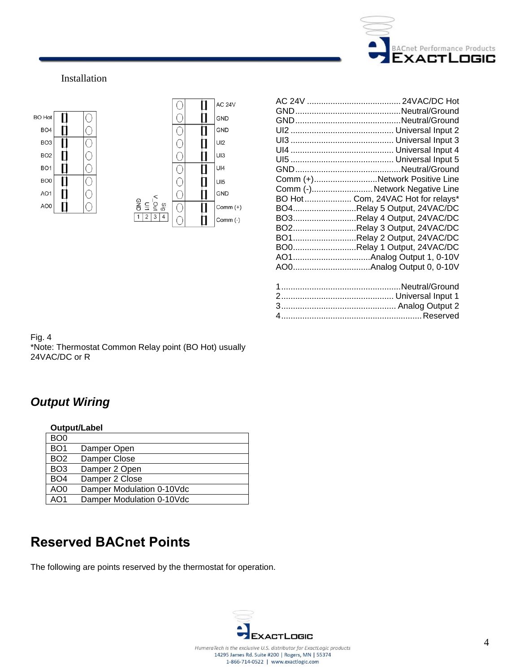

#### Installation



|   | Comm (+)Network Positive Line     |
|---|-----------------------------------|
|   | Comm (-) Network Negative Line    |
|   | BO Hot Com, 24VAC Hot for relays* |
|   | BO4Relay 5 Output, 24VAC/DC       |
|   | BO3Relay 4 Output, 24VAC/DC       |
|   | BO2Relay 3 Output, 24VAC/DC       |
|   | BO1Relay 2 Output, 24VAC/DC       |
|   | BO0Relay 1 Output, 24VAC/DC       |
|   |                                   |
|   |                                   |
|   |                                   |
| 1 | Nautral/Ground                    |

Fig. 4 \*Note: Thermostat Common Relay point (BO Hot) usually 24VAC/DC or R

## *Output Wiring*

|                 | Output/Label              |
|-----------------|---------------------------|
| BO <sub>0</sub> |                           |
| BO <sub>1</sub> | Damper Open               |
| BO <sub>2</sub> | Damper Close              |
| BO <sub>3</sub> | Damper 2 Open             |
| BO <sub>4</sub> | Damper 2 Close            |
| AO <sub>0</sub> | Damper Modulation 0-10Vdc |
| AO1             | Damper Modulation 0-10Vdc |

## **Reserved BACnet Points**

The following are points reserved by the thermostat for operation.

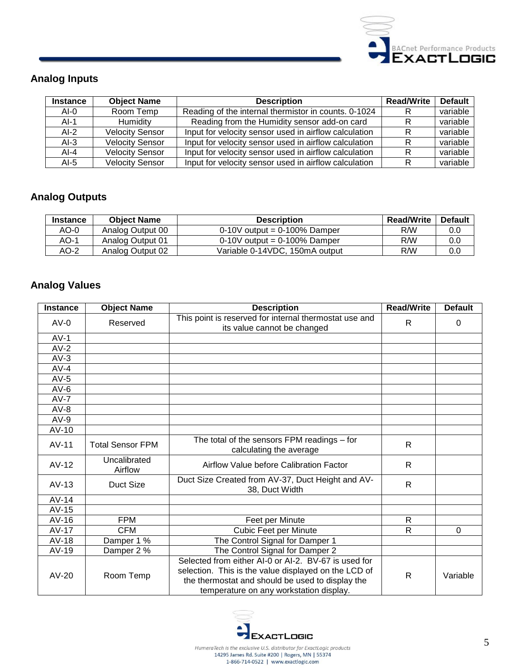

## **Analog Inputs**

| <b>Instance</b> | <b>Object Name</b>     | <b>Description</b>                                    | <b>Read/Write</b> | <b>Default</b> |
|-----------------|------------------------|-------------------------------------------------------|-------------------|----------------|
| $AI-0$          | Room Temp              | Reading of the internal thermistor in counts. 0-1024  |                   | variable       |
| $AI-1$          | Humidity               | Reading from the Humidity sensor add-on card          |                   | variable       |
| $AI-2$          | <b>Velocity Sensor</b> | Input for velocity sensor used in airflow calculation |                   | variable       |
| $AI-3$          | <b>Velocity Sensor</b> | Input for velocity sensor used in airflow calculation |                   | variable       |
| $AI-4$          | <b>Velocity Sensor</b> | Input for velocity sensor used in airflow calculation |                   | variable       |
| Al-5            | <b>Velocity Sensor</b> | Input for velocity sensor used in airflow calculation |                   | variable       |

### **Analog Outputs**

| <b>Instance</b> | <b>Object Name</b> | <b>Description</b>             | <b>Read/Write</b> | <b>Default</b> |
|-----------------|--------------------|--------------------------------|-------------------|----------------|
| AO-0            | Analog Output 00   | $0-10V$ output = 0-100% Damper | R/W               | 0.0            |
| AO-1            | Analog Output 01   | $0-10V$ output = 0-100% Damper | R/W               | 0.0            |
| AO-2            | Analog Output 02   | Variable 0-14VDC, 150mA output | R/W               | 0.0            |

### **Analog Values**

| <b>Instance</b> | <b>Object Name</b>      | <b>Description</b>                                                                                                                                                                                          | <b>Read/Write</b> | <b>Default</b> |
|-----------------|-------------------------|-------------------------------------------------------------------------------------------------------------------------------------------------------------------------------------------------------------|-------------------|----------------|
| $AV-0$          | Reserved                | This point is reserved for internal thermostat use and<br>its value cannot be changed                                                                                                                       | R.                | 0              |
| $AV-1$          |                         |                                                                                                                                                                                                             |                   |                |
| $AV-2$          |                         |                                                                                                                                                                                                             |                   |                |
| $AV-3$          |                         |                                                                                                                                                                                                             |                   |                |
| $AV-4$          |                         |                                                                                                                                                                                                             |                   |                |
| $AV-5$          |                         |                                                                                                                                                                                                             |                   |                |
| $AV-6$          |                         |                                                                                                                                                                                                             |                   |                |
| $AV-7$          |                         |                                                                                                                                                                                                             |                   |                |
| $AV-8$          |                         |                                                                                                                                                                                                             |                   |                |
| $AV-9$          |                         |                                                                                                                                                                                                             |                   |                |
| $AV-10$         |                         |                                                                                                                                                                                                             |                   |                |
| $AV-11$         | <b>Total Sensor FPM</b> | The total of the sensors FPM readings - for<br>calculating the average                                                                                                                                      | R.                |                |
| $AV-12$         | Uncalibrated<br>Airflow | Airflow Value before Calibration Factor                                                                                                                                                                     | R.                |                |
| $AV-13$         | Duct Size               | Duct Size Created from AV-37, Duct Height and AV-<br>38, Duct Width                                                                                                                                         | $\mathsf{R}$      |                |
| $AV-14$         |                         |                                                                                                                                                                                                             |                   |                |
| $AV-15$         |                         |                                                                                                                                                                                                             |                   |                |
| $AV-16$         | <b>FPM</b>              | Feet per Minute                                                                                                                                                                                             | $\mathsf{R}$      |                |
| $AV-17$         | <b>CFM</b>              | Cubic Feet per Minute                                                                                                                                                                                       | R                 | 0              |
| $AV-18$         | Damper 1 %              | The Control Signal for Damper 1                                                                                                                                                                             |                   |                |
| AV-19           | Damper 2 %              | The Control Signal for Damper 2                                                                                                                                                                             |                   |                |
| $AV-20$         | Room Temp               | Selected from either AI-0 or AI-2. BV-67 is used for<br>selection. This is the value displayed on the LCD of<br>the thermostat and should be used to display the<br>temperature on any workstation display. | R                 | Variable       |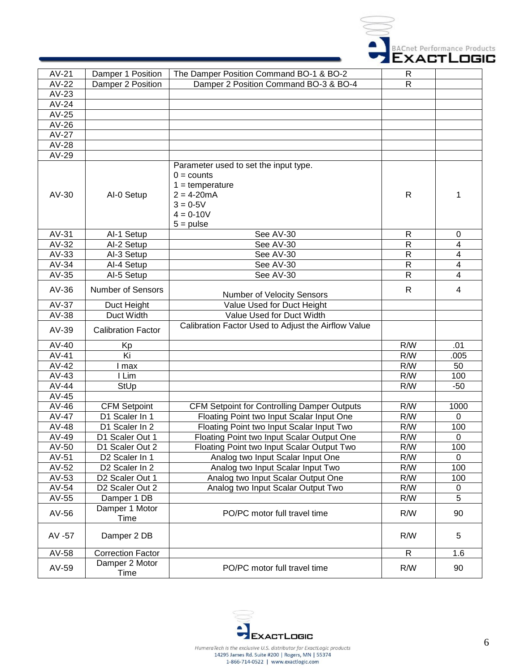

| $AV-21$      | Damper 1 Position         | The Damper Position Command BO-1 & BO-2                                                                                                           | R              |          |
|--------------|---------------------------|---------------------------------------------------------------------------------------------------------------------------------------------------|----------------|----------|
| AV-22        | Damper 2 Position         | Damper 2 Position Command BO-3 & BO-4                                                                                                             | R              |          |
| $AV-23$      |                           |                                                                                                                                                   |                |          |
| AV-24        |                           |                                                                                                                                                   |                |          |
| AV-25        |                           |                                                                                                                                                   |                |          |
| AV-26        |                           |                                                                                                                                                   |                |          |
| <b>AV-27</b> |                           |                                                                                                                                                   |                |          |
| AV-28        |                           |                                                                                                                                                   |                |          |
| AV-29        |                           |                                                                                                                                                   |                |          |
| AV-30        | Al-0 Setup                | Parameter used to set the input type.<br>$0 = \text{counts}$<br>$1 = temperature$<br>$2 = 4 - 20mA$<br>$3 = 0.5V$<br>$4 = 0 - 10V$<br>$5 = pulse$ | R              | 1        |
| AV-31        | Al-1 Setup                | See AV-30                                                                                                                                         | R              | 0        |
| AV-32        | Al-2 Setup                | See AV-30                                                                                                                                         | R              | 4        |
| AV-33        | Al-3 Setup                | See AV-30                                                                                                                                         | $\overline{R}$ | 4        |
| AV-34        | Al-4 Setup                | See AV-30                                                                                                                                         | $\mathsf{R}$   | 4        |
| AV-35        | Al-5 Setup                | See AV-30                                                                                                                                         | $\mathsf{R}$   | 4        |
| $AV-36$      | <b>Number of Sensors</b>  | <b>Number of Velocity Sensors</b>                                                                                                                 | $\mathsf{R}$   | 4        |
| AV-37        | Duct Height               | Value Used for Duct Height                                                                                                                        |                |          |
| AV-38        | Duct Width                | Value Used for Duct Width                                                                                                                         |                |          |
| AV-39        | <b>Calibration Factor</b> | Calibration Factor Used to Adjust the Airflow Value                                                                                               |                |          |
| AV-40        | Kp                        |                                                                                                                                                   | R/W            | .01      |
| $AV-41$      | Ki                        |                                                                                                                                                   | R/W            | .005     |
| AV-42        | max                       |                                                                                                                                                   | R/W            | 50       |
| $AV-43$      | I Lim                     |                                                                                                                                                   | R/W            | 100      |
| $AV-44$      | StUp                      |                                                                                                                                                   | R/W            | $-50$    |
| $AV-45$      |                           |                                                                                                                                                   |                |          |
| $AV-46$      | <b>CFM Setpoint</b>       | <b>CFM Setpoint for Controlling Damper Outputs</b>                                                                                                | R/W            | 1000     |
| AV-47        | D1 Scaler In 1            | Floating Point two Input Scalar Input One                                                                                                         | R/W            | 0        |
| $AV-48$      | D1 Scaler In 2            | Floating Point two Input Scalar Input Two                                                                                                         | R/W            | 100      |
| AV-49        | D1 Scaler Out 1           | Floating Point two Input Scalar Output One                                                                                                        | R/W            | 0        |
| AV-50        | D1 Scaler Out 2           | Floating Point two Input Scalar Output Two                                                                                                        | R/W            | 100      |
| AV-51        | D2 Scaler In 1            | Analog two Input Scalar Input One                                                                                                                 | R/W            | $\Omega$ |
| AV-52        | D2 Scaler In 2            | Analog two Input Scalar Input Two                                                                                                                 | R/W            | 100      |
| $AV-53$      | D2 Scaler Out 1           | Analog two Input Scalar Output One                                                                                                                | R/W            | 100      |
| AV-54        | D2 Scaler Out 2           | Analog two Input Scalar Output Two                                                                                                                | R/W            | 0        |
| AV-55        | Damper 1 DB               |                                                                                                                                                   | R/W            | 5        |
| AV-56        | Damper 1 Motor<br>Time    | PO/PC motor full travel time                                                                                                                      | R/W            | 90       |
| AV -57       | Damper 2 DB               |                                                                                                                                                   | R/W            | 5        |
| AV-58        | <b>Correction Factor</b>  |                                                                                                                                                   | $\mathsf{R}$   | 1.6      |
| AV-59        | Damper 2 Motor<br>Time    | PO/PC motor full travel time                                                                                                                      | R/W            | 90       |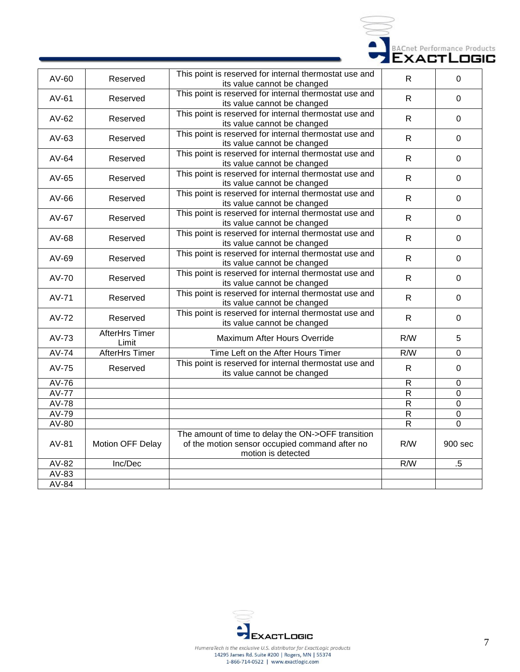

| AV-60        | Reserved                       | This point is reserved for internal thermostat use and<br>its value cannot be changed                                      | $\mathsf{R}$   | $\Omega$         |
|--------------|--------------------------------|----------------------------------------------------------------------------------------------------------------------------|----------------|------------------|
| AV-61        | Reserved                       | This point is reserved for internal thermostat use and<br>its value cannot be changed                                      | $\mathsf{R}$   | $\Omega$         |
| AV-62        | Reserved                       | This point is reserved for internal thermostat use and<br>its value cannot be changed                                      | $\mathsf{R}$   | $\overline{0}$   |
| AV-63        | Reserved                       | This point is reserved for internal thermostat use and<br>its value cannot be changed                                      | $\mathsf{R}$   | $\mathbf 0$      |
| AV-64        | Reserved                       | This point is reserved for internal thermostat use and<br>its value cannot be changed                                      | $\mathsf{R}$   | $\mathbf 0$      |
| AV-65        | Reserved                       | This point is reserved for internal thermostat use and<br>its value cannot be changed                                      | $\mathsf{R}$   | $\Omega$         |
| AV-66        | Reserved                       | This point is reserved for internal thermostat use and<br>its value cannot be changed                                      | $\mathsf{R}$   | $\Omega$         |
| AV-67        | Reserved                       | This point is reserved for internal thermostat use and<br>its value cannot be changed                                      | $\mathsf{R}$   | $\mathbf 0$      |
| AV-68        | Reserved                       | This point is reserved for internal thermostat use and<br>its value cannot be changed                                      | $\mathsf{R}$   | $\Omega$         |
| AV-69        | Reserved                       | This point is reserved for internal thermostat use and<br>its value cannot be changed                                      | $\mathsf{R}$   | $\mathbf 0$      |
| AV-70        | Reserved                       | This point is reserved for internal thermostat use and<br>its value cannot be changed                                      | $\mathsf{R}$   | $\Omega$         |
| AV-71        | Reserved                       | This point is reserved for internal thermostat use and<br>its value cannot be changed                                      | $\mathsf{R}$   | $\mathbf 0$      |
| <b>AV-72</b> | Reserved                       | This point is reserved for internal thermostat use and<br>its value cannot be changed                                      | $\mathsf{R}$   | $\mathbf 0$      |
| AV-73        | <b>AfterHrs Timer</b><br>Limit | Maximum After Hours Override                                                                                               | R/W            | 5                |
| <b>AV-74</b> | <b>AfterHrs Timer</b>          | Time Left on the After Hours Timer                                                                                         | R/W            | $\overline{0}$   |
| AV-75        | Reserved                       | This point is reserved for internal thermostat use and<br>its value cannot be changed                                      | $\mathsf{R}$   | $\mathbf 0$      |
| AV-76        |                                |                                                                                                                            | ${\sf R}$      | $\boldsymbol{0}$ |
| <b>AV-77</b> |                                |                                                                                                                            | $\overline{R}$ | $\overline{0}$   |
| <b>AV-78</b> |                                |                                                                                                                            | $\overline{R}$ | $\overline{0}$   |
| AV-79        |                                |                                                                                                                            | ${\sf R}$      | $\mathbf 0$      |
| AV-80        |                                |                                                                                                                            | R              | $\Omega$         |
| AV-81        | Motion OFF Delay               | The amount of time to delay the ON->OFF transition<br>of the motion sensor occupied command after no<br>motion is detected | R/W            | 900 sec          |
| AV-82        | Inc/Dec                        |                                                                                                                            | R/W            | $.5\,$           |
| AV-83        |                                |                                                                                                                            |                |                  |
| AV-84        |                                |                                                                                                                            |                |                  |

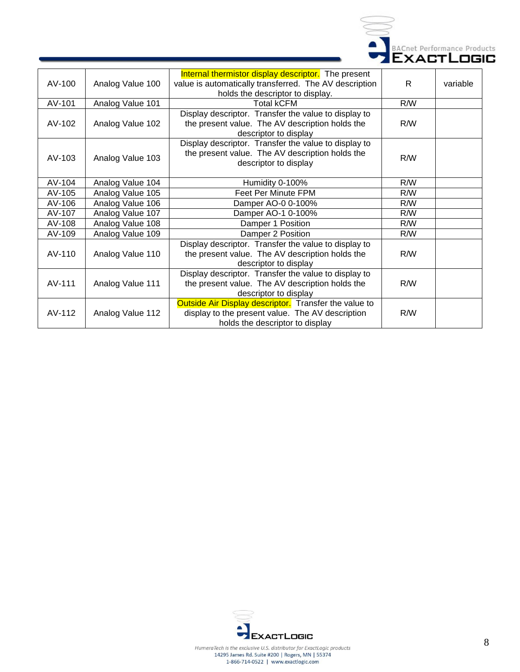

| AV-100 | Analog Value 100 | Internal thermistor display descriptor. The present<br>value is automatically transferred. The AV description<br>holds the descriptor to display. | R.  | variable |
|--------|------------------|---------------------------------------------------------------------------------------------------------------------------------------------------|-----|----------|
| AV-101 | Analog Value 101 | <b>Total kCFM</b>                                                                                                                                 | R/W |          |
| AV-102 | Analog Value 102 | Display descriptor. Transfer the value to display to<br>the present value. The AV description holds the<br>descriptor to display                  | R/W |          |
| AV-103 | Analog Value 103 | Display descriptor. Transfer the value to display to<br>the present value. The AV description holds the<br>descriptor to display                  | R/W |          |
| AV-104 | Analog Value 104 | Humidity 0-100%                                                                                                                                   | R/W |          |
| AV-105 | Analog Value 105 | Feet Per Minute FPM                                                                                                                               | R/W |          |
| AV-106 | Analog Value 106 | Damper AO-0 0-100%                                                                                                                                | R/W |          |
| AV-107 | Analog Value 107 | Damper AO-1 0-100%                                                                                                                                | R/W |          |
| AV-108 | Analog Value 108 | Damper 1 Position                                                                                                                                 | R/W |          |
| AV-109 | Analog Value 109 | Damper 2 Position                                                                                                                                 | R/W |          |
| AV-110 | Analog Value 110 | Display descriptor. Transfer the value to display to<br>the present value. The AV description holds the<br>descriptor to display                  | R/W |          |
| AV-111 | Analog Value 111 | Display descriptor. Transfer the value to display to<br>the present value. The AV description holds the<br>descriptor to display                  | R/W |          |
| AV-112 | Analog Value 112 | Outside Air Display descriptor. Transfer the value to<br>display to the present value. The AV description<br>holds the descriptor to display      | R/W |          |

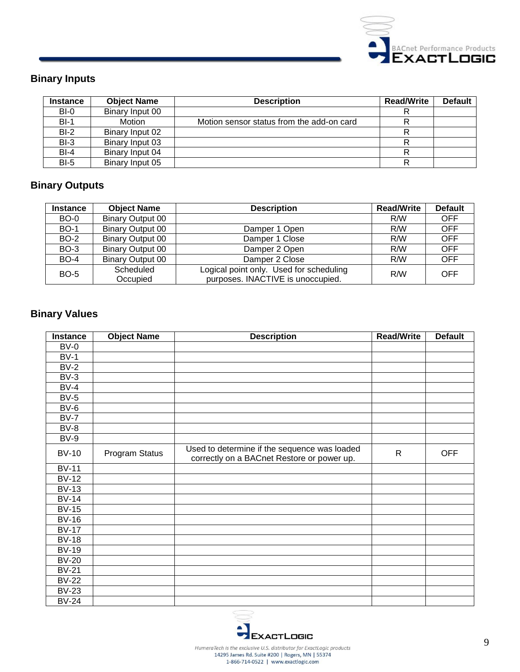

## **Binary Inputs**

| <b>Instance</b> | <b>Object Name</b> | <b>Description</b>                        | <b>Read/Write</b> | <b>Default</b> |
|-----------------|--------------------|-------------------------------------------|-------------------|----------------|
| $BI-0$          | Binary Input 00    |                                           |                   |                |
| $BI-1$          | Motion             | Motion sensor status from the add-on card |                   |                |
| $BI-2$          | Binary Input 02    |                                           |                   |                |
| $BI-3$          | Binary Input 03    |                                           |                   |                |
| $BI-4$          | Binary Input 04    |                                           |                   |                |
| $BI-5$          | Binary Input 05    |                                           | R                 |                |

### **Binary Outputs**

| <b>Instance</b> | <b>Object Name</b>      | <b>Description</b>                      | <b>Read/Write</b> | <b>Default</b> |
|-----------------|-------------------------|-----------------------------------------|-------------------|----------------|
| <b>BO-0</b>     | <b>Binary Output 00</b> |                                         | R/W               | <b>OFF</b>     |
| <b>BO-1</b>     | <b>Binary Output 00</b> | Damper 1 Open                           | R/W               | <b>OFF</b>     |
| <b>BO-2</b>     | Binary Output 00        | Damper 1 Close                          | R/W               | <b>OFF</b>     |
| <b>BO-3</b>     | <b>Binary Output 00</b> | Damper 2 Open                           | R/W               | <b>OFF</b>     |
| <b>BO-4</b>     | <b>Binary Output 00</b> | Damper 2 Close                          | R/W               | <b>OFF</b>     |
| <b>BO-5</b>     | Scheduled               | Logical point only. Used for scheduling | R/W               | OFF            |
|                 | Occupied                | purposes. INACTIVE is unoccupied.       |                   |                |

## **Binary Values**

| Instance     | <b>Object Name</b> | <b>Description</b>                                                                         | <b>Read/Write</b> | <b>Default</b> |
|--------------|--------------------|--------------------------------------------------------------------------------------------|-------------------|----------------|
| $BV-0$       |                    |                                                                                            |                   |                |
| $BV-1$       |                    |                                                                                            |                   |                |
| $BV-2$       |                    |                                                                                            |                   |                |
| $BV-3$       |                    |                                                                                            |                   |                |
| $BV-4$       |                    |                                                                                            |                   |                |
| $BV-5$       |                    |                                                                                            |                   |                |
| $BV-6$       |                    |                                                                                            |                   |                |
| $BV-7$       |                    |                                                                                            |                   |                |
| $BV-8$       |                    |                                                                                            |                   |                |
| $BV-9$       |                    |                                                                                            |                   |                |
| <b>BV-10</b> | Program Status     | Used to determine if the sequence was loaded<br>correctly on a BACnet Restore or power up. | $\mathsf{R}$      | <b>OFF</b>     |
| $BV-11$      |                    |                                                                                            |                   |                |
| $BV-12$      |                    |                                                                                            |                   |                |
| $BV-13$      |                    |                                                                                            |                   |                |
| <b>BV-14</b> |                    |                                                                                            |                   |                |
| <b>BV-15</b> |                    |                                                                                            |                   |                |
| <b>BV-16</b> |                    |                                                                                            |                   |                |
| <b>BV-17</b> |                    |                                                                                            |                   |                |
| <b>BV-18</b> |                    |                                                                                            |                   |                |
| <b>BV-19</b> |                    |                                                                                            |                   |                |
| <b>BV-20</b> |                    |                                                                                            |                   |                |
| <b>BV-21</b> |                    |                                                                                            |                   |                |
| <b>BV-22</b> |                    |                                                                                            |                   |                |
| <b>BV-23</b> |                    |                                                                                            |                   |                |
| <b>BV-24</b> |                    |                                                                                            |                   |                |

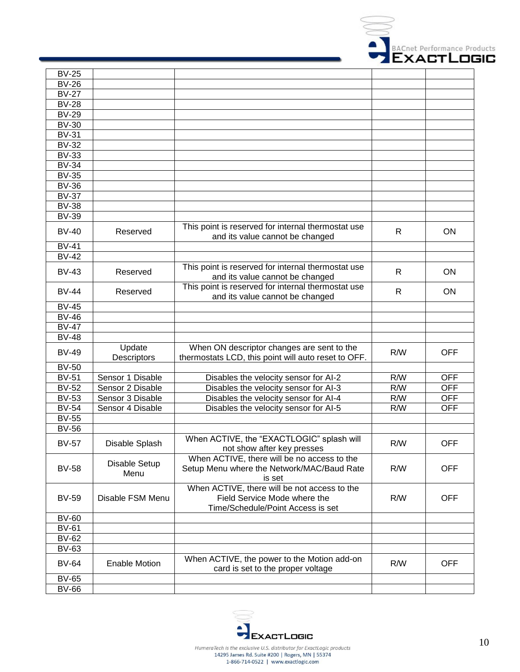

| <b>BV-25</b> |                              |                                                                                                                   |              |            |
|--------------|------------------------------|-------------------------------------------------------------------------------------------------------------------|--------------|------------|
| <b>BV-26</b> |                              |                                                                                                                   |              |            |
| <b>BV-27</b> |                              |                                                                                                                   |              |            |
| <b>BV-28</b> |                              |                                                                                                                   |              |            |
| <b>BV-29</b> |                              |                                                                                                                   |              |            |
| <b>BV-30</b> |                              |                                                                                                                   |              |            |
| <b>BV-31</b> |                              |                                                                                                                   |              |            |
| <b>BV-32</b> |                              |                                                                                                                   |              |            |
| <b>BV-33</b> |                              |                                                                                                                   |              |            |
|              |                              |                                                                                                                   |              |            |
| <b>BV-34</b> |                              |                                                                                                                   |              |            |
| <b>BV-35</b> |                              |                                                                                                                   |              |            |
| <b>BV-36</b> |                              |                                                                                                                   |              |            |
| <b>BV-37</b> |                              |                                                                                                                   |              |            |
| <b>BV-38</b> |                              |                                                                                                                   |              |            |
| <b>BV-39</b> |                              |                                                                                                                   |              |            |
| <b>BV-40</b> | Reserved                     | This point is reserved for internal thermostat use<br>and its value cannot be changed                             | R            | ON         |
| <b>BV-41</b> |                              |                                                                                                                   |              |            |
| <b>BV-42</b> |                              |                                                                                                                   |              |            |
| $BV-43$      | Reserved                     | This point is reserved for internal thermostat use<br>and its value cannot be changed                             | $\mathsf{R}$ | ON         |
| <b>BV-44</b> | Reserved                     | This point is reserved for internal thermostat use<br>and its value cannot be changed                             | $\mathsf{R}$ | ON         |
| <b>BV-45</b> |                              |                                                                                                                   |              |            |
| <b>BV-46</b> |                              |                                                                                                                   |              |            |
| <b>BV-47</b> |                              |                                                                                                                   |              |            |
| <b>BV-48</b> |                              |                                                                                                                   |              |            |
| <b>BV-49</b> | Update<br>Descriptors        | When ON descriptor changes are sent to the<br>thermostats LCD, this point will auto reset to OFF.                 | R/W          | <b>OFF</b> |
| <b>BV-50</b> |                              |                                                                                                                   |              |            |
| <b>BV-51</b> | Sensor 1 Disable             | Disables the velocity sensor for Al-2                                                                             | R/W          | <b>OFF</b> |
| <b>BV-52</b> | Sensor 2 Disable             | Disables the velocity sensor for AI-3                                                                             | R/W          | <b>OFF</b> |
| <b>BV-53</b> | Sensor 3 Disable             | Disables the velocity sensor for AI-4                                                                             | R/W          | <b>OFF</b> |
| <b>BV-54</b> | Sensor 4 Disable             | Disables the velocity sensor for AI-5                                                                             | R/W          | <b>OFF</b> |
| <b>BV-55</b> |                              |                                                                                                                   |              |            |
| <b>BV-56</b> |                              |                                                                                                                   |              |            |
| <b>BV-57</b> | Disable Splash               | When ACTIVE, the "EXACTLOGIC" splash will<br>not show after key presses                                           | R/W          | <b>OFF</b> |
| <b>BV-58</b> | <b>Disable Setup</b><br>Menu | When ACTIVE, there will be no access to the<br>Setup Menu where the Network/MAC/Baud Rate<br>is set               | R/W          | <b>OFF</b> |
| <b>BV-59</b> | Disable FSM Menu             | When ACTIVE, there will be not access to the<br>Field Service Mode where the<br>Time/Schedule/Point Access is set | R/W          | <b>OFF</b> |
| <b>BV-60</b> |                              |                                                                                                                   |              |            |
| <b>BV-61</b> |                              |                                                                                                                   |              |            |
| <b>BV-62</b> |                              |                                                                                                                   |              |            |
| <b>BV-63</b> |                              |                                                                                                                   |              |            |
| <b>BV-64</b> | <b>Enable Motion</b>         | When ACTIVE, the power to the Motion add-on<br>card is set to the proper voltage                                  | R/W          | <b>OFF</b> |
| <b>BV-65</b> |                              |                                                                                                                   |              |            |
| <b>BV-66</b> |                              |                                                                                                                   |              |            |
|              |                              |                                                                                                                   |              |            |